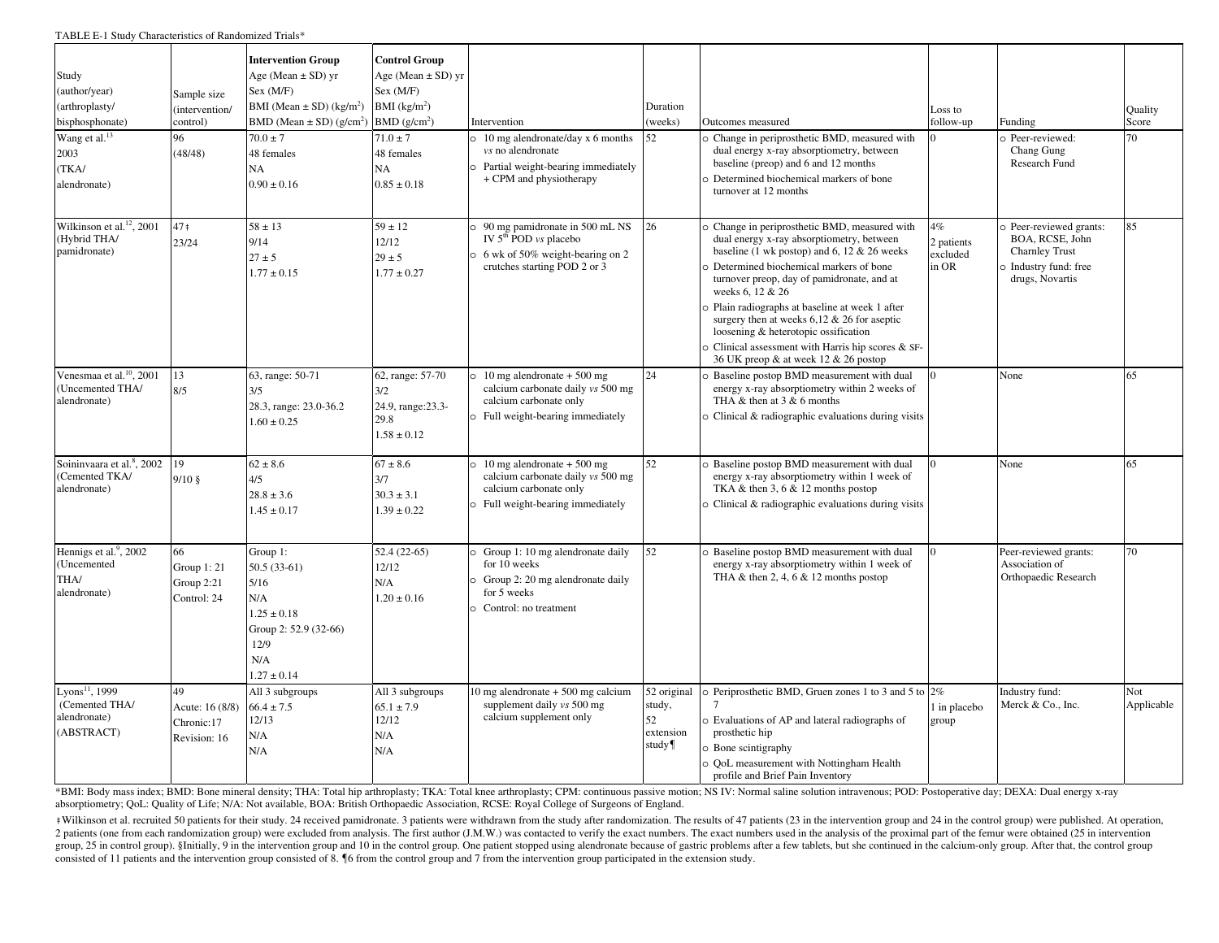TABLE E-1 Study Characteristics of Randomized Trials\*

| Study<br>(author/year)<br>(arthroplasty/<br>bisphosphonate)<br>Wang et al. <sup>13</sup><br>2003<br>(TKA/<br>alendronate) | Sample size<br>(intervention/<br>control)<br>96<br>(48/48) | <b>Intervention Group</b><br>Age (Mean $\pm$ SD) yr<br>Sex (M/F)<br>BMI (Mean $\pm$ SD) (kg/m <sup>2</sup> )<br>BMD (Mean $\pm$ SD) (g/cm <sup>2</sup> )<br>$70.0 \pm 7$<br>48 females<br>NA<br>$0.90 \pm 0.16$ | <b>Control Group</b><br>Age (Mean $\pm$ SD) yr<br>Sex (M/F)<br>$BMI$ (kg/m <sup>2</sup> )<br>BMD(g/cm <sup>2</sup> )<br>$71.0 \pm 7$<br>48 females<br>NA<br>$0.85 \pm 0.18$ | Intervention<br>10 mg alendronate/day x 6 months<br><i>vs</i> no alendronate<br>Partial weight-bearing immediately<br>+ CPM and physiotherapy | Duration<br>(weeks)<br>52                         | Outcomes measured<br>O Change in periprosthetic BMD, measured with<br>dual energy x-ray absorptiometry, between<br>baseline (preop) and 6 and 12 months<br>Determined biochemical markers of bone<br>turnover at 12 months                                                                                                                                                                                                                                                                         | Loss to<br>follow-up                  | Funding<br>Peer-reviewed:<br>Chang Gung<br>Research Fund                                                      | <b>Quality</b><br>Score<br>70 |
|---------------------------------------------------------------------------------------------------------------------------|------------------------------------------------------------|-----------------------------------------------------------------------------------------------------------------------------------------------------------------------------------------------------------------|-----------------------------------------------------------------------------------------------------------------------------------------------------------------------------|-----------------------------------------------------------------------------------------------------------------------------------------------|---------------------------------------------------|----------------------------------------------------------------------------------------------------------------------------------------------------------------------------------------------------------------------------------------------------------------------------------------------------------------------------------------------------------------------------------------------------------------------------------------------------------------------------------------------------|---------------------------------------|---------------------------------------------------------------------------------------------------------------|-------------------------------|
| Wilkinson et al. <sup>12</sup> , 2001<br>(Hybrid THA/<br>pamidronate)                                                     | $47+$<br>23/24                                             | $58 \pm 13$<br>9/14<br>$27 \pm 5$<br>$1.77 \pm 0.15$                                                                                                                                                            | $59 \pm 12$<br>12/12<br>$29 \pm 5$<br>$1.77 \pm 0.27$                                                                                                                       | 90 mg pamidronate in 500 mL NS<br>IV $5th$ POD $vs$ placebo<br>6 wk of 50% weight-bearing on 2<br>crutches starting POD 2 or 3                | 26                                                | o Change in periprosthetic BMD, measured with<br>dual energy x-ray absorptiometry, between<br>baseline (1 wk postop) and 6, 12 $& 26$ weeks<br>Determined biochemical markers of bone<br>turnover preop, day of pamidronate, and at<br>weeks 6, 12 & 26<br>D Plain radiographs at baseline at week 1 after<br>surgery then at weeks $6,12 \& 26$ for aseptic<br>loosening & heterotopic ossification<br>O Clinical assessment with Harris hip scores & SF-<br>36 UK preop & at week 12 & 26 postop | 4%<br>2 patients<br>excluded<br>in OR | Peer-reviewed grants:<br>BOA, RCSE, John<br><b>Charnley Trust</b><br>b Industry fund: free<br>drugs, Novartis | 85                            |
| Venesmaa et al. <sup>10</sup> , 2001<br>(Uncemented THA/<br>alendronate)                                                  | 13<br>8/5                                                  | 63, range: 50-71<br>3/5<br>28.3, range: 23.0-36.2<br>$1.60 \pm 0.25$                                                                                                                                            | 62, range: 57-70<br>3/2<br>24.9, range: 23.3-<br>29.8<br>$1.58 \pm 0.12$                                                                                                    | 10 mg alendronate $+500$ mg<br>calcium carbonate daily vs 500 mg<br>calcium carbonate only<br>o Full weight-bearing immediately               | 24                                                | Baseline postop BMD measurement with dual<br>energy x-ray absorptiometry within 2 weeks of<br>THA & then at $3 & 6$ months<br>$\circ$ Clinical & radiographic evaluations during visits                                                                                                                                                                                                                                                                                                            |                                       | None                                                                                                          | 65                            |
| Soininvaara et al. <sup>8</sup> , 2002<br>(Cemented TKA/<br>alendronate)                                                  | 19<br>$9/10$ §                                             | $62 \pm 8.6$<br>4/5<br>$28.8 \pm 3.6$<br>$1.45 \pm 0.17$                                                                                                                                                        | $67 \pm 8.6$<br>3/7<br>$30.3 \pm 3.1$<br>$1.39 \pm 0.22$                                                                                                                    | 10 mg alendronate $+500$ mg<br>calcium carbonate daily vs 500 mg<br>calcium carbonate only<br>Full weight-bearing immediately                 | 52                                                | Baseline postop BMD measurement with dual<br>energy x-ray absorptiometry within 1 week of<br>TKA & then $3, 6$ & 12 months postop<br>$\circ$ Clinical & radiographic evaluations during visits                                                                                                                                                                                                                                                                                                     | $\Omega$                              | None                                                                                                          | 65                            |
| Hennigs et al. <sup>9</sup> , 2002<br>(Uncemented<br>THA/<br>alendronate)                                                 | 66<br>Group 1: 21<br>Group 2:21<br>Control: 24             | Group 1:<br>$50.5(33-61)$<br>5/16<br>N/A<br>$1.25 \pm 0.18$<br>Group 2: 52.9 (32-66)<br>12/9<br>N/A<br>$1.27 \pm 0.14$                                                                                          | $52.4(22-65)$<br>12/12<br>N/A<br>$1.20 \pm 0.16$                                                                                                                            | Group 1: 10 mg alendronate daily<br>for 10 weeks<br>Group 2: 20 mg alendronate daily<br>for 5 weeks<br>Control: no treatment                  | 52                                                | Baseline postop BMD measurement with dual<br>energy x-ray absorptiometry within 1 week of<br>THA & then 2, 4, 6 & 12 months postop                                                                                                                                                                                                                                                                                                                                                                 |                                       | Peer-reviewed grants:<br>Association of<br>Orthopaedic Research                                               | 70                            |
| Lyons <sup>11</sup> , 1999<br>(Cemented THA/<br>alendronate)<br>(ABSTRACT)                                                | 49<br>Acute: 16 (8/8)<br>Chronic:17<br>Revision: 16        | All 3 subgroups<br>$66.4 \pm 7.5$<br>12/13<br>N/A<br>N/A                                                                                                                                                        | All 3 subgroups<br>$65.1 \pm 7.9$<br>12/12<br>N/A<br>N/A                                                                                                                    | $0 \text{ mg}$ alendronate $+500 \text{ mg}$ calcium<br>supplement daily vs 500 mg<br>calcium supplement only                                 | 52 original<br>study,<br>52<br>extension<br>study | $\circ$ Periprosthetic BMD, Gruen zones 1 to 3 and 5 to 2%<br>D Evaluations of AP and lateral radiographs of<br>prosthetic hip<br><b>Bone scintigraphy</b><br>OoL measurement with Nottingham Health<br>profile and Brief Pain Inventory                                                                                                                                                                                                                                                           | 1 in placebo<br>group                 | Industry fund:<br>Merck & Co., Inc.                                                                           | Not<br>Applicable             |

\*BMI: Body mass index; BMD: Bone mineral density; THA: Total hip arthroplasty; TKA: Total knee arthroplasty; CPM: continuous passive motion; NS IV: Normal saline solution intravenous; POD: Postoperative day; DEXA: Dual ene absorptiometry; QoL: Quality of Life; N/A: Not available, BOA: British Orthopaedic Association, RCSE: Royal College of Surgeons of England.

#Wilkinson et al. recruited 50 patients for their study. 24 received pamidronate. 3 patients were withdrawn from the study after randomization. The results of 47 patients (23 in the intervention group and 24 in the control 2 patients (one from each randomization group) were excluded from analysis. The first author (J.M.W.) was contacted to verify the exact numbers. The exact numbers used in the analysis of the proximal part of the femur were group, 25 in control group). §Initially, 9 in the intervention group and 10 in the control group. One patient stopped using alendronate because of gastric problems after a few tablets, but she continued in the calcium-only consisted of 11 patients and the intervention group consisted of 8. ¶6 from the control group and 7 from the intervention group participated in the extension study.